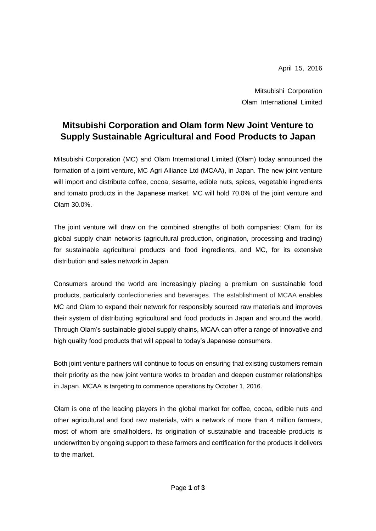April 15, 2016

Mitsubishi Corporation Olam International Limited

# **Mitsubishi Corporation and Olam form New Joint Venture to Supply Sustainable Agricultural and Food Products to Japan**

Mitsubishi Corporation (MC) and Olam International Limited (Olam) today announced the formation of a joint venture, MC Agri Alliance Ltd (MCAA), in Japan. The new joint venture will import and distribute coffee, cocoa, sesame, edible nuts, spices, vegetable ingredients and tomato products in the Japanese market. MC will hold 70.0% of the joint venture and Olam 30.0%.

The joint venture will draw on the combined strengths of both companies: Olam, for its global supply chain networks (agricultural production, origination, processing and trading) for sustainable agricultural products and food ingredients, and MC, for its extensive distribution and sales network in Japan.

Consumers around the world are increasingly placing a premium on sustainable food products, particularly confectioneries and beverages. The establishment of MCAA enables MC and Olam to expand their network for responsibly sourced raw materials and improves their system of distributing agricultural and food products in Japan and around the world. Through Olam's sustainable global supply chains, MCAA can offer a range of innovative and high quality food products that will appeal to today's Japanese consumers.

Both joint venture partners will continue to focus on ensuring that existing customers remain their priority as the new joint venture works to broaden and deepen customer relationships in Japan. MCAA is targeting to commence operations by October 1, 2016.

Olam is one of the leading players in the global market for coffee, cocoa, edible nuts and other agricultural and food raw materials, with a network of more than 4 million farmers, most of whom are smallholders. Its origination of sustainable and traceable products is underwritten by ongoing support to these farmers and certification for the products it delivers to the market.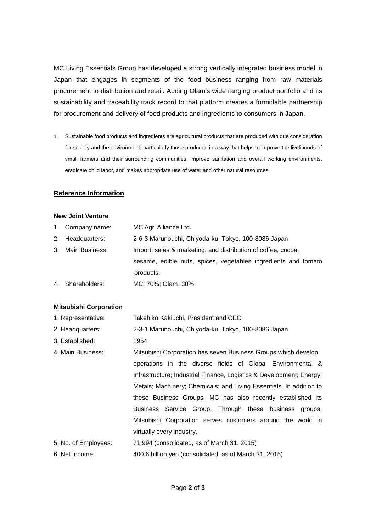MC Living Essentials Group has developed a strong vertically integrated business model in Japan that engages in segments of the food business ranging from raw materials procurement to distribution and retail. Adding Olam's wide ranging product portfolio and its sustainability and traceability track record to that platform creates a formidable partnership for procurement and delivery of food products and ingredients to consumers in Japan.

1. Sustainable food products and ingredients are agricultural products that are produced with due consideration for society and the environment; particularly those produced in a way that helps to improve the livelihoods of small farmers and their surrounding communities, improve sanitation and overall working environments, eradicate child labor, and makes appropriate use of water and other natural resources.

## **Reference Information**

#### **New Joint Venture**

- 1. Company name: MC Agri Alliance Ltd.
- 2. Headquarters: 2-6-3 Marunouchi, Chiyoda-ku, Tokyo, 100-8086 Japan
- 3. Main Business: Import, sales & marketing, and distribution of coffee, cocoa, sesame, edible nuts, spices, vegetables ingredients and tomato products.
- 4. Shareholders: MC, 70%; Olam, 30%

## **Mitsubishi Corporation**

| 1. Representative:   | Takehiko Kakiuchi, President and CEO                                 |
|----------------------|----------------------------------------------------------------------|
| 2. Headquarters:     | 2-3-1 Marunouchi, Chiyoda-ku, Tokyo, 100-8086 Japan                  |
| 3. Established:      | 1954                                                                 |
| 4. Main Business:    | Mitsubishi Corporation has seven Business Groups which develop       |
|                      | operations in the diverse fields of Global Environmental &           |
|                      | Infrastructure; Industrial Finance, Logistics & Development; Energy; |
|                      | Metals; Machinery; Chemicals; and Living Essentials. In addition to  |
|                      | these Business Groups, MC has also recently established its          |
|                      | Business Service Group. Through these business groups,               |
|                      | Mitsubishi Corporation serves customers around the world in          |
|                      | virtually every industry.                                            |
| 5. No. of Employees: | 71,994 (consolidated, as of March 31, 2015)                          |
| 6. Net Income:       | 400.6 billion yen (consolidated, as of March 31, 2015)               |